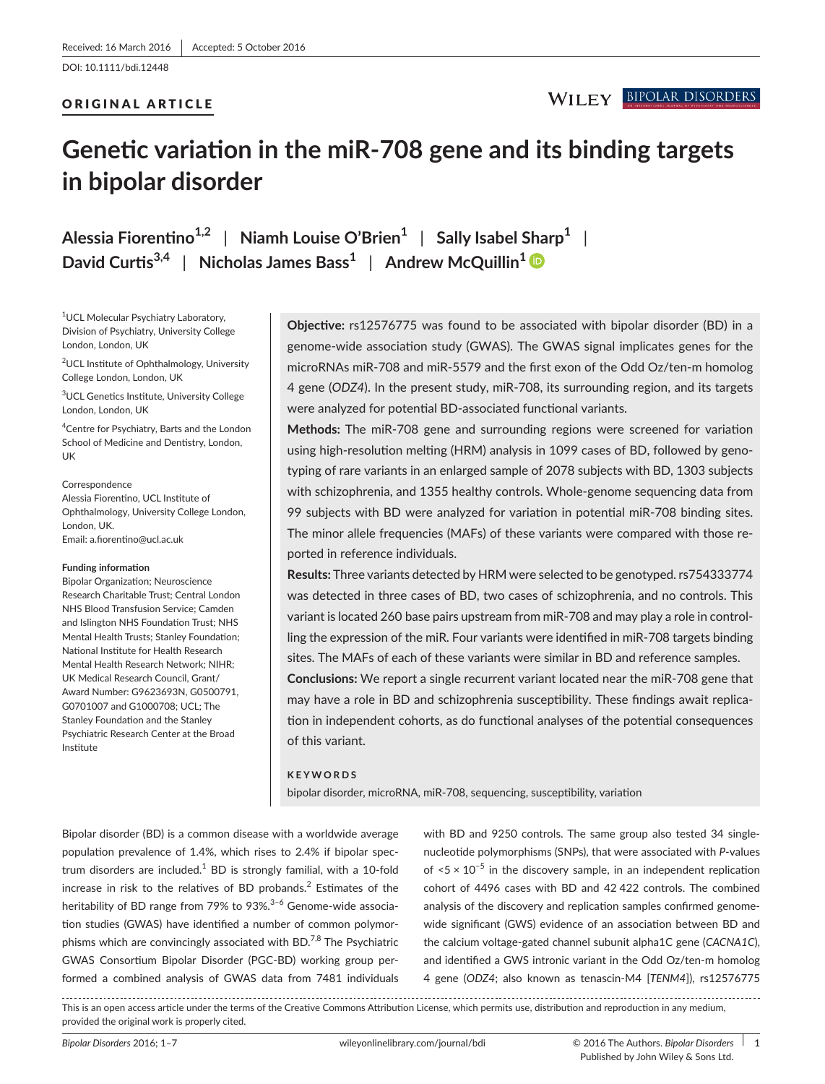DOI: 10.1111/bdi.12448

#### ORIGINAL ARTICLE

# **Genetic variation in the miR-708 gene and its binding targets in bipolar disorder**

**Alessia Fiorentino1,2** | **Niamh Louise O'Brien<sup>1</sup>** | **Sally Isabel Sharp<sup>1</sup>** | **David Curtis3,4** | **Nicholas James Bass<sup>1</sup>** | **Andrew McQuillin<sup>1</sup>**

1 UCL Molecular Psychiatry Laboratory, Division of Psychiatry, University College London, London, UK

<sup>2</sup>UCL Institute of Ophthalmology, University College London, London, UK

3 UCL Genetics Institute, University College London, London, UK

4 Centre for Psychiatry, Barts and the London School of Medicine and Dentistry, London, UK

#### Correspondence

Alessia Fiorentino, UCL Institute of Ophthalmology, University College London, London, UK. Email: [a.fiorentino@ucl.ac.uk](mailto:a.fiorentino@ucl.ac.uk)

#### **Funding information**

Bipolar Organization; Neuroscience Research Charitable Trust; Central London NHS Blood Transfusion Service; Camden and Islington NHS Foundation Trust; NHS Mental Health Trusts; Stanley Foundation; National Institute for Health Research Mental Health Research Network; NIHR; UK Medical Research Council, Grant/ Award Number: G9623693N, G0500791,  $G0701007$  and  $G1000708$ ; UCL; The Stanley Foundation and the Stanley Psychiatric Research Center at the Broad Institute

**Objective:** rs12576775 was found to be associated with bipolar disorder (BD) in a genome-wide association study (GWAS). The GWAS signal implicates genes for the microRNAs miR-708 and miR-5579 and the first exon of the Odd Oz/ten-m homolog 4 gene (*ODZ4*). In the present study, miR-708, its surrounding region, and its targets were analyzed for potential BD-associated functional variants.

**Methods:** The miR-708 gene and surrounding regions were screened for variation using high-resolution melting (HRM) analysis in 1099 cases of BD, followed by genotyping of rare variants in an enlarged sample of 2078 subjects with BD, 1303 subjects with schizophrenia, and 1355 healthy controls. Whole-genome sequencing data from 99 subjects with BD were analyzed for variation in potential miR-708 binding sites. The minor allele frequencies (MAFs) of these variants were compared with those reported in reference individuals.

**Results:** Three variants detected by HRM were selected to be genotyped. rs754333774 was detected in three cases of BD, two cases of schizophrenia, and no controls. This variant is located 260 base pairs upstream from miR-708 and may play a role in controlling the expression of the miR. Four variants were identified in miR-708 targets binding sites. The MAFs of each of these variants were similar in BD and reference samples. **Conclusions:** We report a single recurrent variant located near the miR-708 gene that

may have a role in BD and schizophrenia susceptibility. These findings await replication in independent cohorts, as do functional analyses of the potential consequences of this variant.

#### **KEYWORDS**

bipolar disorder, microRNA, miR-708, sequencing, susceptibility, variation

Bipolar disorder (BD) is a common disease with a worldwide average population prevalence of 1.4%, which rises to 2.4% if bipolar spectrum disorders are included. $^1$  BD is strongly familial, with a 10-fold increase in risk to the relatives of BD probands. $^2$  Estimates of the heritability of BD range from 79% to 93%.<sup>3-6</sup> Genome-wide association studies (GWAS) have identified a number of common polymorphisms which are convincingly associated with BD.<sup>7,8</sup> The Psychiatric GWAS Consortium Bipolar Disorder (PGC-BD) working group performed a combined analysis of GWAS data from 7481 individuals

with BD and 9250 controls. The same group also tested 34 singlenucleotide polymorphisms (SNPs), that were associated with *P*-values of  $5 \times 10^{-5}$  in the discovery sample, in an independent replication cohort of 4496 cases with BD and 42 422 controls. The combined analysis of the discovery and replication samples confirmed genomewide significant (GWS) evidence of an association between BD and the calcium voltage-gated channel subunit alpha1C gene (*CACNA1C*), and identified a GWS intronic variant in the Odd Oz/ten-m homolog 4 gene (*ODZ4*; also known as tenascin-M4 [*TENM4*]), rs12576775

This is an open access article under the terms of the [Creative Commons Attribution](http://creativecommons.org/licenses/by/4.0/) License, which permits use, distribution and reproduction in any medium, provided the original work is properly cited.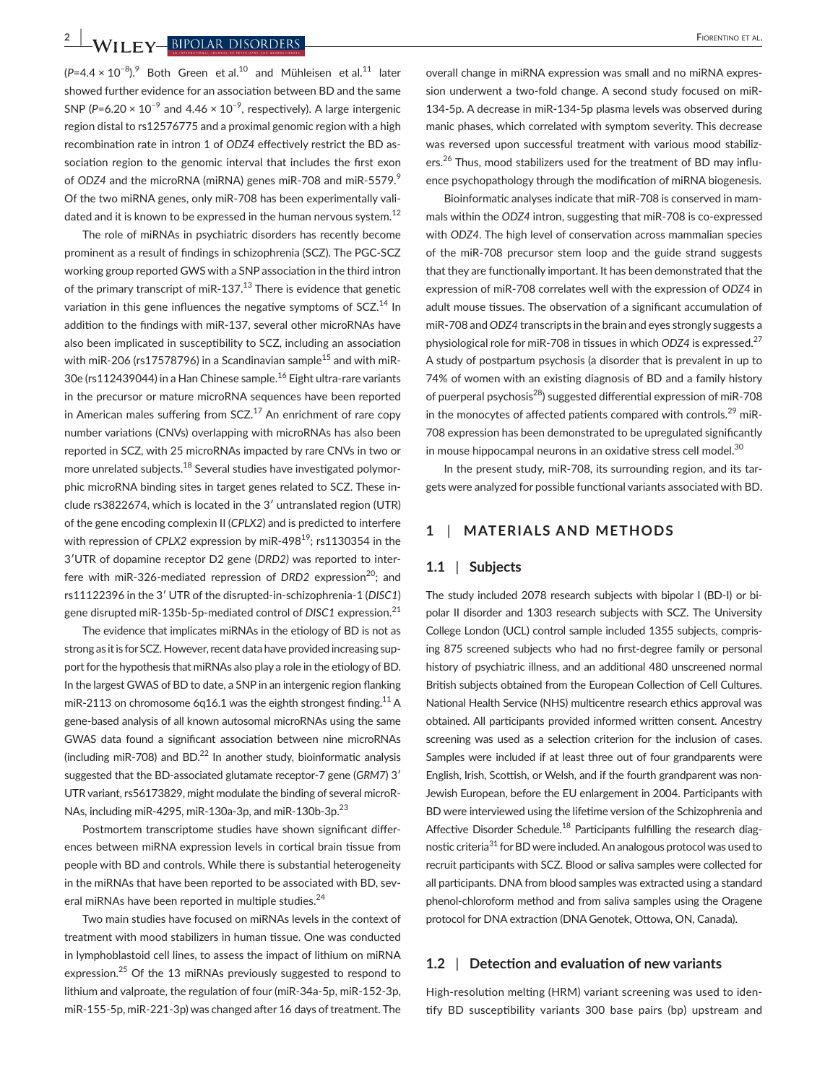**2 |**  Fiorentino et al.

(P=4.4 × 10<sup>-8</sup>).<sup>9</sup> Both Green et al.<sup>10</sup> and Mühleisen et al.<sup>11</sup> later showed further evidence for an association between BD and the same SNP ( $P=6.20 \times 10^{-9}$  and  $4.46 \times 10^{-9}$ , respectively). A large intergenic region distal to rs12576775 and a proximal genomic region with a high recombination rate in intron 1 of *ODZ4* effectively restrict the BD association region to the genomic interval that includes the first exon of *ODZ4* and the microRNA (miRNA) genes miR-708 and miR-5579.<sup>9</sup> Of the two miRNA genes, only miR-708 has been experimentally validated and it is known to be expressed in the human nervous system.<sup>12</sup>

The role of miRNAs in psychiatric disorders has recently become prominent as a result of findings in schizophrenia (SCZ). The PGC-SCZ working group reported GWS with a SNP association in the third intron of the primary transcript of miR-137. $^{13}$  There is evidence that genetic variation in this gene influences the negative symptoms of SCZ.<sup>14</sup> In addition to the findings with miR-137, several other microRNAs have also been implicated in susceptibility to SCZ, including an association with miR-206 (rs17578796) in a Scandinavian sample<sup>15</sup> and with miR-30e (rs112439044) in a Han Chinese sample.<sup>16</sup> Eight ultra-rare variants in the precursor or mature microRNA sequences have been reported in American males suffering from  $SCZ<sup>17</sup>$  An enrichment of rare copy number variations (CNVs) overlapping with microRNAs has also been reported in SCZ, with 25 microRNAs impacted by rare CNVs in two or more unrelated subjects.<sup>18</sup> Several studies have investigated polymorphic microRNA binding sites in target genes related to SCZ. These include rs3822674, which is located in the 3ʹ untranslated region (UTR) of the gene encoding complexin II (*CPLX2*) and is predicted to interfere with repression of *CPLX2* expression by miR-498<sup>19</sup>; rs1130354 in the 3ʹUTR of dopamine receptor D2 gene (*DRD2)* was reported to interfere with miR-326-mediated repression of *DRD2* expression<sup>20</sup>; and rs11122396 in the 3ʹ UTR of the disrupted-in-schizophrenia-1 (*DISC1*) gene disrupted miR-135b-5p-mediated control of *DISC1* expression.<sup>21</sup>

The evidence that implicates miRNAs in the etiology of BD is not as strong as it is for SCZ. However, recent data have provided increasing support for the hypothesis that miRNAs also play a role in the etiology of BD. In the largest GWAS of BD to date, a SNP in an intergenic region flanking miR-2113 on chromosome 6q16.1 was the eighth strongest finding.<sup>11</sup> A gene-based analysis of all known autosomal microRNAs using the same GWAS data found a significant association between nine microRNAs (including miR-708) and BD. $^{22}$  In another study, bioinformatic analysis suggested that the BD-associated glutamate receptor-7 gene (*GRM7*) 3ʹ UTR variant, rs56173829, might modulate the binding of several microR-NAs, including miR-4295, miR-130a-3p, and miR-130b-3p.<sup>23</sup>

Postmortem transcriptome studies have shown significant differences between miRNA expression levels in cortical brain tissue from people with BD and controls. While there is substantial heterogeneity in the miRNAs that have been reported to be associated with BD, several miRNAs have been reported in multiple studies.<sup>24</sup>

Two main studies have focused on miRNAs levels in the context of treatment with mood stabilizers in human tissue. One was conducted in lymphoblastoid cell lines, to assess the impact of lithium on miRNA expression.25 Of the 13 miRNAs previously suggested to respond to lithium and valproate, the regulation of four (miR-34a-5p, miR-152-3p, miR-155-5p, miR-221-3p) was changed after 16 days of treatment. The

overall change in miRNA expression was small and no miRNA expression underwent a two-fold change. A second study focused on miR-134-5p. A decrease in miR-134-5p plasma levels was observed during manic phases, which correlated with symptom severity. This decrease was reversed upon successful treatment with various mood stabilizers.<sup>26</sup> Thus, mood stabilizers used for the treatment of BD may influence psychopathology through the modification of miRNA biogenesis.

Bioinformatic analyses indicate that miR-708 is conserved in mammals within the *ODZ4* intron, suggesting that miR-708 is co-expressed with *ODZ4*. The high level of conservation across mammalian species of the miR-708 precursor stem loop and the guide strand suggests that they are functionally important. It has been demonstrated that the expression of miR-708 correlates well with the expression of *ODZ4* in adult mouse tissues. The observation of a significant accumulation of miR-708 and *ODZ4* transcripts in the brain and eyes strongly suggests a physiological role for miR-708 in tissues in which *ODZ4* is expressed.<sup>27</sup> A study of postpartum psychosis (a disorder that is prevalent in up to 74% of women with an existing diagnosis of BD and a family history of puerperal psychosis<sup>28</sup>) suggested differential expression of miR-708 in the monocytes of affected patients compared with controls. $^{29}$  miR-708 expression has been demonstrated to be upregulated significantly in mouse hippocampal neurons in an oxidative stress cell model.<sup>30</sup>

In the present study, miR-708, its surrounding region, and its targets were analyzed for possible functional variants associated with BD.

# **1** | **MATERIALS AND METHODS**

#### **1.1** | **Subjects**

The study included 2078 research subjects with bipolar I (BD-I) or bipolar II disorder and 1303 research subjects with SCZ. The University College London (UCL) control sample included 1355 subjects, comprising 875 screened subjects who had no first-degree family or personal history of psychiatric illness, and an additional 480 unscreened normal British subjects obtained from the European Collection of Cell Cultures. National Health Service (NHS) multicentre research ethics approval was obtained. All participants provided informed written consent. Ancestry screening was used as a selection criterion for the inclusion of cases. Samples were included if at least three out of four grandparents were English, Irish, Scottish, or Welsh, and if the fourth grandparent was non-Jewish European, before the EU enlargement in 2004. Participants with BD were interviewed using the lifetime version of the Schizophrenia and Affective Disorder Schedule.<sup>18</sup> Participants fulfilling the research diagnostic criteria<sup>31</sup> for BD were included. An analogous protocol was used to recruit participants with SCZ. Blood or saliva samples were collected for all participants. DNA from blood samples was extracted using a standard phenol-chloroform method and from saliva samples using the Oragene protocol for DNA extraction (DNA Genotek, Ottowa, ON, Canada).

### **1.2** | **Detection and evaluation of new variants**

High-resolution melting (HRM) variant screening was used to identify BD susceptibility variants 300 base pairs (bp) upstream and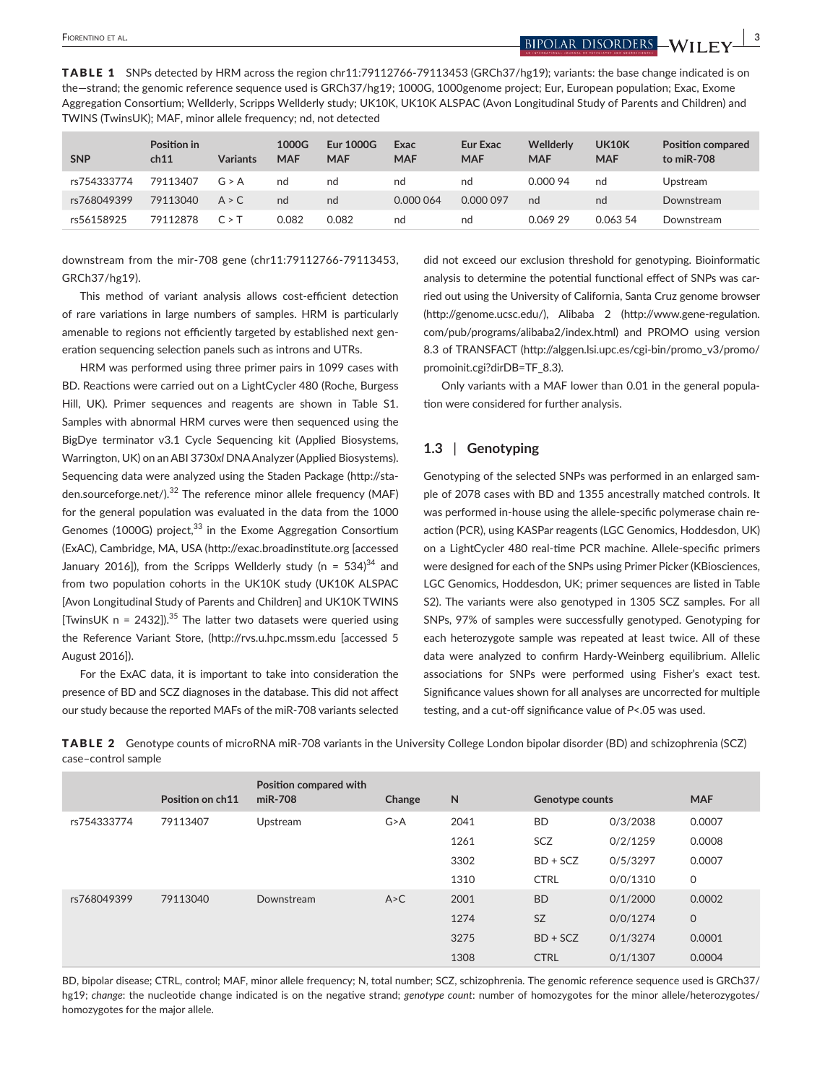**FIORENTINO ET AL. BIPOLAR DISORDERS** 

TABLE 1 SNPs detected by HRM across the region chr11:79112766-79113453 (GRCh37/hg19); variants: the base change indicated is on the—strand; the genomic reference sequence used is GRCh37/hg19; 1000G, 1000genome project; Eur, European population; Exac, Exome Aggregation Consortium; Wellderly, Scripps Wellderly study; UK10K, UK10K ALSPAC (Avon Longitudinal Study of Parents and Children) and TWINS (TwinsUK); MAF, minor allele frequency; nd, not detected

| <b>SNP</b>  | Position in<br>ch11 | <b>Variants</b> | 1000G<br><b>MAF</b> | <b>Eur 1000G</b><br><b>MAF</b> | Exac<br><b>MAF</b> | <b>Eur Exac</b><br><b>MAF</b> | Wellderly<br><b>MAF</b> | <b>UK10K</b><br><b>MAF</b> | <b>Position compared</b><br>to miR-708 |
|-------------|---------------------|-----------------|---------------------|--------------------------------|--------------------|-------------------------------|-------------------------|----------------------------|----------------------------------------|
| rs754333774 | 79113407            | G > A           | nd                  | nd                             | nd                 | nd                            | 0.000 94                | nd                         | Upstream                               |
| rs768049399 | 79113040            | A > C           | nd                  | nd                             | 0.000 064          | 0.000 097                     | nd                      | nd                         | Downstream                             |
| rs56158925  | 79112878            | C > T           | 0.082               | 0.082                          | nd                 | nd                            | 0.06929                 | 0.063 54                   | Downstream                             |

downstream from the mir-708 gene (chr11:79112766-79113453, GRCh37/hg19).

This method of variant analysis allows cost-efficient detection of rare variations in large numbers of samples. HRM is particularly amenable to regions not efficiently targeted by established next generation sequencing selection panels such as introns and UTRs.

HRM was performed using three primer pairs in 1099 cases with BD. Reactions were carried out on a LightCycler 480 (Roche, Burgess Hill, UK). Primer sequences and reagents are shown in Table S1. Samples with abnormal HRM curves were then sequenced using the BigDye terminator v3.1 Cycle Sequencing kit (Applied Biosystems, Warrington, UK) on an ABI 3730*xl* DNA Analyzer (Applied Biosystems). Sequencing data were analyzed using the Staden Package ([http://sta](http://staden.sourceforge.net/)[den.sourceforge.net/](http://staden.sourceforge.net/)).<sup>32</sup> The reference minor allele frequency (MAF) for the general population was evaluated in the data from the 1000 Genomes (1000G) project, $33$  in the Exome Aggregation Consortium (ExAC), Cambridge, MA, USA [\(http://exac.broadinstitute.org](http://exac.broadinstitute.org) [accessed January 2016]), from the Scripps Wellderly study (n =  $534$ )<sup>34</sup> and from two population cohorts in the UK10K study (UK10K ALSPAC [Avon Longitudinal Study of Parents and Children] and UK10K TWINS [TwinsUK n =  $2432$ ]).<sup>35</sup> The latter two datasets were queried using the Reference Variant Store, (http://rvs.u.hpc.mssm.edu [accessed 5 August 2016]).

For the ExAC data, it is important to take into consideration the presence of BD and SCZ diagnoses in the database. This did not affect our study because the reported MAFs of the miR-708 variants selected did not exceed our exclusion threshold for genotyping. Bioinformatic analysis to determine the potential functional effect of SNPs was carried out using the University of California, Santa Cruz genome browser (<http://genome.ucsc.edu/>), Alibaba 2 ([http://www.gene-regulation.](http://www.gene-regulation.com/pub/programs/alibaba2/index.html) [com/pub/programs/alibaba2/index.html](http://www.gene-regulation.com/pub/programs/alibaba2/index.html)) and PROMO using version 8.3 of TRANSFACT [\(http://alggen.lsi.upc.es/cgi-bin/promo\\_v3/promo/](http://alggen.lsi.upc.es/cgi-bin/promo_v3/promo/promoinit.cgi?dirDB=TF_8.3) [promoinit.cgi?dirDB=TF\\_8.3\)](http://alggen.lsi.upc.es/cgi-bin/promo_v3/promo/promoinit.cgi?dirDB=TF_8.3).

Only variants with a MAF lower than 0.01 in the general population were considered for further analysis.

### **1.3** | **Genotyping**

Genotyping of the selected SNPs was performed in an enlarged sample of 2078 cases with BD and 1355 ancestrally matched controls. It was performed in-house using the allele-specific polymerase chain reaction (PCR), using KASPar reagents (LGC Genomics, Hoddesdon, UK) on a LightCycler 480 real-time PCR machine. Allele-specific primers were designed for each of the SNPs using Primer Picker (KBiosciences, LGC Genomics, Hoddesdon, UK; primer sequences are listed in Table S2). The variants were also genotyped in 1305 SCZ samples. For all SNPs, 97% of samples were successfully genotyped. Genotyping for each heterozygote sample was repeated at least twice. All of these data were analyzed to confirm Hardy-Weinberg equilibrium. Allelic associations for SNPs were performed using Fisher's exact test. Significance values shown for all analyses are uncorrected for multiple testing, and a cut-off significance value of *P*<.05 was used.

TABLE 2 Genotype counts of microRNA miR-708 variants in the University College London bipolar disorder (BD) and schizophrenia (SCZ) case–control sample

|             | Position on ch11 | Position compared with<br>miR-708 | Change | $\mathsf{N}$ | <b>Genotype counts</b> |          | <b>MAF</b>   |
|-------------|------------------|-----------------------------------|--------|--------------|------------------------|----------|--------------|
| rs754333774 | 79113407         | Upstream                          | G > A  | 2041         | <b>BD</b>              | 0/3/2038 | 0.0007       |
|             |                  |                                   |        | 1261         | <b>SCZ</b>             | 0/2/1259 | 0.0008       |
|             |                  |                                   |        | 3302         | $BD + SCZ$             | 0/5/3297 | 0.0007       |
|             |                  |                                   |        | 1310         | <b>CTRL</b>            | 0/0/1310 | 0            |
| rs768049399 | 79113040         | Downstream                        | A > C  | 2001         | <b>BD</b>              | 0/1/2000 | 0.0002       |
|             |                  |                                   |        | 1274         | <b>SZ</b>              | 0/0/1274 | $\mathsf{O}$ |
|             |                  |                                   |        | 3275         | $BD + SCZ$             | 0/1/3274 | 0.0001       |
|             |                  |                                   |        | 1308         | <b>CTRL</b>            | 0/1/1307 | 0.0004       |

BD, bipolar disease; CTRL, control; MAF, minor allele frequency; N, total number; SCZ, schizophrenia. The genomic reference sequence used is GRCh37/ hg19; *change*: the nucleotide change indicated is on the negative strand; *genotype count*: number of homozygotes for the minor allele/heterozygotes/ homozygotes for the major allele.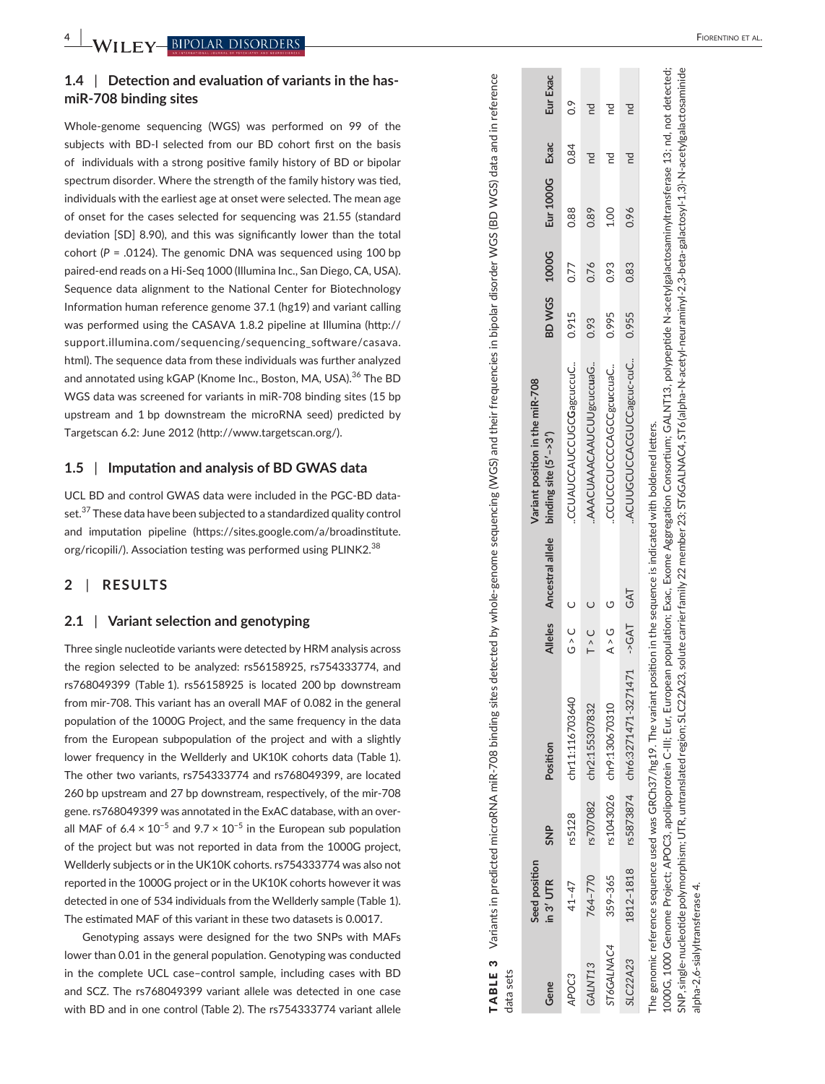**4** 

# **1.4**  | **Detection and evaluation of variants in the hasmiR-708 binding sites**

Whole-genome sequencing (WGS) was performed on 99 of the subjects with BD-I selected from our BD cohort first on the basis of individuals with a strong positive family history of BD or bipolar spectrum disorder. Where the strength of the family history was tied, individuals with the earliest age at onset were selected. The mean age of onset for the cases selected for sequencing was 21.55 (standard deviation [SD] 8.90), and this was significantly lower than the total cohort ( *P* = .0124). The genomic DNA was sequenced using 100 bp paired-end reads on a Hi-Seq 1000 (Illumina Inc., San Diego, CA, USA). Sequence data alignment to the National Center for Biotechnology Information human reference genome 37.1 (hg19) and variant calling was performed using the CASAVA 1.8.2 pipeline at Illumina ([http://](http://support.illumina.com/sequencing/sequencing_software/casava.html) [support.illumina.com/sequencing/sequencing\\_software/casava.](http://support.illumina.com/sequencing/sequencing_software/casava.html) [html](http://support.illumina.com/sequencing/sequencing_software/casava.html)). The sequence data from these individuals was further analyzed and annotated using kGAP (Knome Inc., Boston, MA, USA).<sup>36</sup> The BD WGS data was screened for variants in miR-708 binding sites (15 bp upstream and 1 bp downstream the microRNA seed) predicted by Targetscan 6.2: June 2012 [\(http://www.targetscan.org/](http://www.targetscan.org/)).

#### **1.5**  | **Imputation and analysis of BD GWAS data**

UCL BD and control GWAS data were included in the PGC-BD data set.<sup>37</sup> These data have been subjected to a standardized quality control and imputation pipeline ([https://sites.google.com/a/broadinstitute.](https://sites.google.com/a/broadinstitute.org/ricopili/) [org/ricopili/\)](https://sites.google.com/a/broadinstitute.org/ricopili/). Association testing was performed using PLINK2.<sup>38</sup>

#### **2**  | **RESULTS**

#### **2.1**  | **Variant selection and genotyping**

Three single nucleotide variants were detected by HRM analysis across the region selected to be analyzed: rs56158925, rs754333774, and rs768049399 (Table 1). rs56158925 is located 200 bp downstream from mir-708. This variant has an overall MAF of 0.082 in the general population of the 1000G Project, and the same frequency in the data from the European subpopulation of the project and with a slightly lower frequency in the Wellderly and UK10K cohorts data (Table 1). The other two variants, rs754333774 and rs768049399, are located 260 bp upstream and 27 bp downstream, respectively, of the mir-708 gene. rs768049399 was annotated in the ExAC database, with an over all MAF of  $6.4 \times 10^{-5}$  and  $9.7 \times 10^{-5}$  in the European sub population of the project but was not reported in data from the 1000G project, Wellderly subjects or in the UK10K cohorts. rs754333774 was also not reported in the 1000G project or in the UK10K cohorts however it was detected in one of 534 individuals from the Wellderly sample (Table 1). The estimated MAF of this variant in these two datasets is 0.0017.

Genotyping assays were designed for the two SNPs with MAFs lower than 0.01 in the general population. Genotyping was conducted in the complete UCL case–control sample, including cases with BD and SCZ. The rs768049399 variant allele was detected in one case with BD and in one control (Table 2). The rs754333774 variant allele

| data sets |                            |             |                                                                                                                               |                                                 |                  |                                                          |              |      |                |      |               |
|-----------|----------------------------|-------------|-------------------------------------------------------------------------------------------------------------------------------|-------------------------------------------------|------------------|----------------------------------------------------------|--------------|------|----------------|------|---------------|
| Gene      | Seed position<br>in 3' UTR | $rac{P}{S}$ | Position                                                                                                                      | <b>Alleles</b>                                  | Ancestral allele | Variant position in the miR-708<br>binding site (5'->3') | BD WGS 1000G |      | Eur 1000G Exac |      | Eur Exac      |
| APOC3     | $41 - 47$                  | rs5128      | chr11:116703640                                                                                                               | U<br>U<br>O<br>O                                |                  | .CCUAUCCAUCCUGCGagcuccuC                                 | 0.915        | 0.77 | 0.88           | 0.84 | $\frac{6}{2}$ |
| GALNT13   | 764-770                    | rs707082    | chr2:155307832                                                                                                                | $T > C$ C                                       |                  | AAACUAAACAAUCUUgcuccuaG                                  | 0.93         | 0.76 | 0.89           |      |               |
| T6GALNAC4 | 359-365                    | rs1043026   | chr9:130670310                                                                                                                | $\begin{array}{cc} & G \\ & \infty \end{array}$ |                  | .CCUCCCUCCCAGCCgcuccuaC                                  | 0.995        | 0.93 | 1.00           |      |               |
| SLC22A23  | 1812-1818                  |             | rs5873874 chr6:3271471-3271471 ->GAT GAT                                                                                      |                                                 |                  | ACUUGCUCCACGUCCagcuc-cuC                                 | 0.955        | 0.83 | 0.96           |      |               |
|           |                            |             | The genomic reference sequence used was GRCh37/hg19. The variant position in the sequence is indicated with boldened letters. | $\ddot{ }$                                      |                  |                                                          |              |      |                |      |               |

TABLE 3 Variants in predicted microRNA miR-708 binding sites detected by whole-genome sequencing (WGS) and their frequencies in bipolar disorder WGS (BD WGS) data and in reference

TABLE 3

Variants in predicted microRNA miR-708 binding sites detected by whole-genome sequencing (WGS) and their frequencies in bipolar disorder WGS (BD WGS) data and in reference

1000G, 1000 Genome Project; APOC3, apolipoprotein C-III; Eur, European population; Exac, Exome Aggregation Consortium; GALNT13, polypeptide N-acetylgalactosaminyltransferase 13; nd, not detected; SNP, single-nucleotide polymorphism; UTR, untranslated region; SLC22A23, solute carrier family 22 member 23; ST6GALNAC4, ST6 (alpha-N-acetyl-neuraminyl-2,3-beta-galactosyl-1,3)-N-acetylgalactosaminide ST6GALNAC4, ST6 (alpha-N-acetyl-neuraminyl-2,3-beta-galactosyl-1,3)-N-acetylgalactosaminide 10000G, 1000 Genome Project; APOC3, apolipoprotein C-III; Eur, European population; Exac, Exome Aggregation Consortium; GALNT13, polypeptide N-acetylgalactosaminyltransferase 13; nd, not detected; SNP, single-nucleotide polymorphism; UTR, untranslated region; SLC22A23, solute carrier family 22 member 23; alpha-2.6-sialyltransferase 4. alpha-2,6-sialyltransferase 4.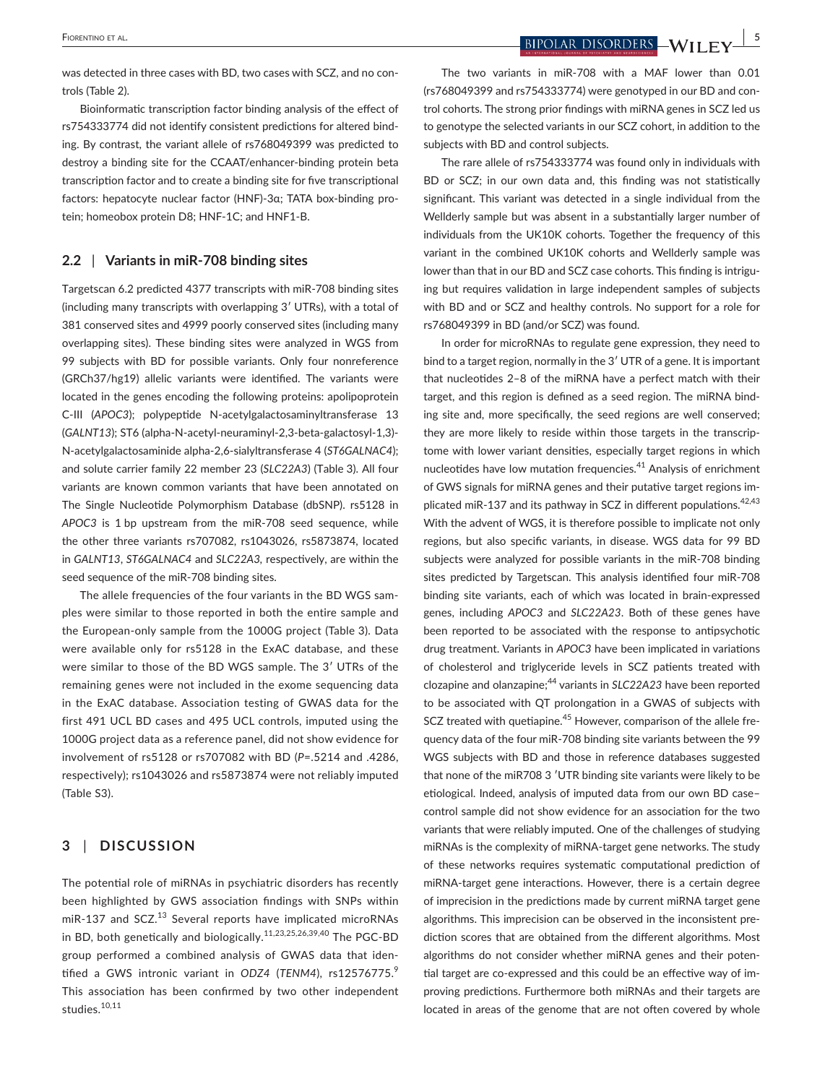**<u>EIDENTINO ET AL.</u> BIPOLAR DISORDERS**  $-WII$   $\text{EY}$   $^{15}$ 

was detected in three cases with BD, two cases with SCZ, and no controls (Table 2).

Bioinformatic transcription factor binding analysis of the effect of rs754333774 did not identify consistent predictions for altered binding. By contrast, the variant allele of rs768049399 was predicted to destroy a binding site for the CCAAT/enhancer-binding protein beta transcription factor and to create a binding site for five transcriptional factors: hepatocyte nuclear factor (HNF)-3α; TATA box-binding protein; homeobox protein D8; HNF-1C; and HNF1-B.

#### **2.2** | **Variants in miR-708 binding sites**

Targetscan 6.2 predicted 4377 transcripts with miR-708 binding sites (including many transcripts with overlapping 3ʹ UTRs), with a total of 381 conserved sites and 4999 poorly conserved sites (including many overlapping sites). These binding sites were analyzed in WGS from 99 subjects with BD for possible variants. Only four nonreference (GRCh37/hg19) allelic variants were identified. The variants were located in the genes encoding the following proteins: apolipoprotein C-III (*APOC3*); polypeptide N-acetylgalactosaminyltransferase 13 (*GALNT13*); ST6 (alpha-N-acetyl-neuraminyl-2,3-beta-galactosyl-1,3)- N-acetylgalactosaminide alpha-2,6-sialyltransferase 4 (*ST6GALNAC4*); and solute carrier family 22 member 23 (*SLC22A3*) (Table 3). All four variants are known common variants that have been annotated on The Single Nucleotide Polymorphism Database (dbSNP). rs5128 in *APOC3* is 1 bp upstream from the miR-708 seed sequence, while the other three variants rs707082, rs1043026, rs5873874, located in *GALNT13*, *ST6GALNAC4* and *SLC22A3,* respectively, are within the seed sequence of the miR-708 binding sites.

The allele frequencies of the four variants in the BD WGS samples were similar to those reported in both the entire sample and the European-only sample from the 1000G project (Table 3). Data were available only for rs5128 in the ExAC database, and these were similar to those of the BD WGS sample. The 3′ UTRs of the remaining genes were not included in the exome sequencing data in the ExAC database. Association testing of GWAS data for the first 491 UCL BD cases and 495 UCL controls, imputed using the 1000G project data as a reference panel, did not show evidence for involvement of rs5128 or rs707082 with BD (*P*=.5214 and .4286, respectively); rs1043026 and rs5873874 were not reliably imputed (Table S3).

## **3** | **DISCUSSION**

The potential role of miRNAs in psychiatric disorders has recently been highlighted by GWS association findings with SNPs within miR-137 and SCZ.<sup>13</sup> Several reports have implicated microRNAs in BD, both genetically and biologically.11,23,25,26,39,40 The PGC-BD group performed a combined analysis of GWAS data that identified a GWS intronic variant in *ODZ4* (TENM4), rs12576775.9 This association has been confirmed by two other independent studies.<sup>10,11</sup>

The two variants in miR-708 with a MAF lower than 0.01 (rs768049399 and rs754333774) were genotyped in our BD and control cohorts. The strong prior findings with miRNA genes in SCZ led us to genotype the selected variants in our SCZ cohort, in addition to the subjects with BD and control subjects.

The rare allele of rs754333774 was found only in individuals with BD or SCZ; in our own data and, this finding was not statistically significant. This variant was detected in a single individual from the Wellderly sample but was absent in a substantially larger number of individuals from the UK10K cohorts. Together the frequency of this variant in the combined UK10K cohorts and Wellderly sample was lower than that in our BD and SCZ case cohorts. This finding is intriguing but requires validation in large independent samples of subjects with BD and or SCZ and healthy controls. No support for a role for rs768049399 in BD (and/or SCZ) was found.

In order for microRNAs to regulate gene expression, they need to bind to a target region, normally in the 3ʹ UTR of a gene. It is important that nucleotides 2–8 of the miRNA have a perfect match with their target, and this region is defined as a seed region. The miRNA binding site and, more specifically, the seed regions are well conserved; they are more likely to reside within those targets in the transcriptome with lower variant densities, especially target regions in which nucleotides have low mutation frequencies.41 Analysis of enrichment of GWS signals for miRNA genes and their putative target regions implicated miR-137 and its pathway in SCZ in different populations.<sup>42,43</sup> With the advent of WGS, it is therefore possible to implicate not only regions, but also specific variants, in disease. WGS data for 99 BD subjects were analyzed for possible variants in the miR-708 binding sites predicted by Targetscan. This analysis identified four miR-708 binding site variants, each of which was located in brain-expressed genes, including *APOC3* and *SLC22A23*. Both of these genes have been reported to be associated with the response to antipsychotic drug treatment. Variants in *APOC3* have been implicated in variations of cholesterol and triglyceride levels in SCZ patients treated with clozapine and olanzapine;44 variants in *SLC22A23* have been reported to be associated with QT prolongation in a GWAS of subjects with SCZ treated with quetiapine.<sup>45</sup> However, comparison of the allele frequency data of the four miR-708 binding site variants between the 99 WGS subjects with BD and those in reference databases suggested that none of the miR708 3 ′UTR binding site variants were likely to be etiological. Indeed, analysis of imputed data from our own BD case– control sample did not show evidence for an association for the two variants that were reliably imputed. One of the challenges of studying miRNAs is the complexity of miRNA-target gene networks. The study of these networks requires systematic computational prediction of miRNA-target gene interactions. However, there is a certain degree of imprecision in the predictions made by current miRNA target gene algorithms. This imprecision can be observed in the inconsistent prediction scores that are obtained from the different algorithms. Most algorithms do not consider whether miRNA genes and their potential target are co-expressed and this could be an effective way of improving predictions. Furthermore both miRNAs and their targets are located in areas of the genome that are not often covered by whole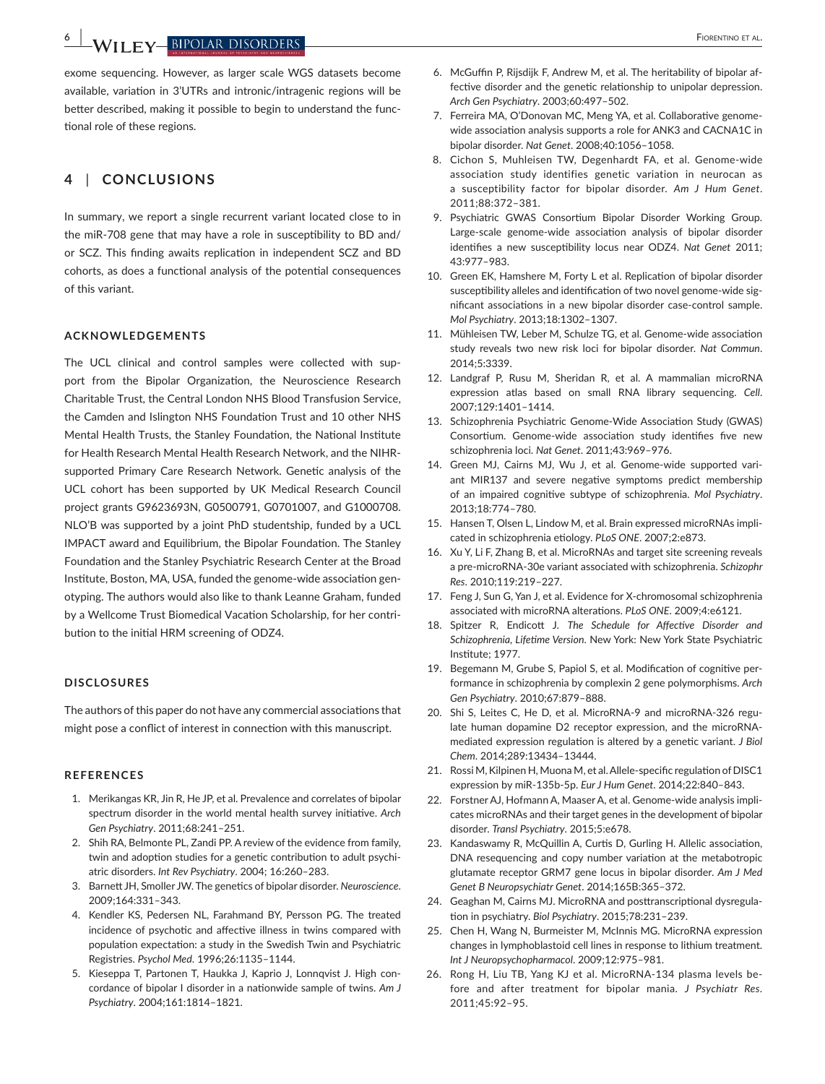**6 |**  Fiorentino et al.

exome sequencing. However, as larger scale WGS datasets become available, variation in 3'UTRs and intronic/intragenic regions will be better described, making it possible to begin to understand the functional role of these regions.

# **4** | **CONCLUSIONS**

In summary, we report a single recurrent variant located close to in the miR-708 gene that may have a role in susceptibility to BD and/ or SCZ. This finding awaits replication in independent SCZ and BD cohorts, as does a functional analysis of the potential consequences of this variant.

#### **ACKNOWLEDGEMENTS**

The UCL clinical and control samples were collected with support from the Bipolar Organization, the Neuroscience Research Charitable Trust, the Central London NHS Blood Transfusion Service, the Camden and Islington NHS Foundation Trust and 10 other NHS Mental Health Trusts, the Stanley Foundation, the National Institute for Health Research Mental Health Research Network, and the NIHRsupported Primary Care Research Network. Genetic analysis of the UCL cohort has been supported by UK Medical Research Council project grants G9623693N, G0500791, G0701007, and G1000708. NLO'B was supported by a joint PhD studentship, funded by a UCL IMPACT award and Equilibrium, the Bipolar Foundation. The Stanley Foundation and the Stanley Psychiatric Research Center at the Broad Institute, Boston, MA, USA, funded the genome-wide association genotyping. The authors would also like to thank Leanne Graham, funded by a Wellcome Trust Biomedical Vacation Scholarship, for her contribution to the initial HRM screening of ODZ4.

#### **DISCLOSURES**

The authors of this paper do not have any commercial associations that might pose a conflict of interest in connection with this manuscript.

#### **REFERENCES**

- 1. Merikangas KR, Jin R, He JP, et al. Prevalence and correlates of bipolar spectrum disorder in the world mental health survey initiative. *Arch Gen Psychiatry*. 2011;68:241–251.
- 2. Shih RA, Belmonte PL, Zandi PP. A review of the evidence from family, twin and adoption studies for a genetic contribution to adult psychiatric disorders. *Int Rev Psychiatry*. 2004; 16:260–283.
- 3. Barnett JH, Smoller JW. The genetics of bipolar disorder. *Neuroscience*. 2009;164:331–343.
- 4. Kendler KS, Pedersen NL, Farahmand BY, Persson PG. The treated incidence of psychotic and affective illness in twins compared with population expectation: a study in the Swedish Twin and Psychiatric Registries. *Psychol Med*. 1996;26:1135–1144.
- 5. Kieseppa T, Partonen T, Haukka J, Kaprio J, Lonnqvist J. High concordance of bipolar I disorder in a nationwide sample of twins. *Am J Psychiatry*. 2004;161:1814–1821.
- 6. McGuffin P, Rijsdijk F, Andrew M, et al. The heritability of bipolar affective disorder and the genetic relationship to unipolar depression. *Arch Gen Psychiatry*. 2003;60:497–502.
- 7. Ferreira MA, O'Donovan MC, Meng YA, et al. Collaborative genomewide association analysis supports a role for ANK3 and CACNA1C in bipolar disorder. *Nat Genet*. 2008;40:1056–1058.
- 8. Cichon S, Muhleisen TW, Degenhardt FA, et al. Genome-wide association study identifies genetic variation in neurocan as a susceptibility factor for bipolar disorder. *Am J Hum Genet*. 2011;88:372–381.
- 9. Psychiatric GWAS Consortium Bipolar Disorder Working Group. Large-scale genome-wide association analysis of bipolar disorder identifies a new susceptibility locus near ODZ4. *Nat Genet* 2011; 43:977–983.
- 10. Green EK, Hamshere M, Forty L et al. Replication of bipolar disorder susceptibility alleles and identification of two novel genome-wide significant associations in a new bipolar disorder case-control sample. *Mol Psychiatry*. 2013;18:1302–1307.
- 11. Mühleisen TW, Leber M, Schulze TG, et al. Genome-wide association study reveals two new risk loci for bipolar disorder. *Nat Commun*. 2014;5:3339.
- 12. Landgraf P, Rusu M, Sheridan R, et al. A mammalian microRNA expression atlas based on small RNA library sequencing. *Cell*. 2007;129:1401–1414.
- 13. Schizophrenia Psychiatric Genome-Wide Association Study (GWAS) Consortium. Genome-wide association study identifies five new schizophrenia loci. *Nat Genet*. 2011;43:969–976.
- 14. Green MJ, Cairns MJ, Wu J, et al. Genome-wide supported variant MIR137 and severe negative symptoms predict membership of an impaired cognitive subtype of schizophrenia. *Mol Psychiatry*. 2013;18:774–780.
- 15. Hansen T, Olsen L, Lindow M, et al. Brain expressed microRNAs implicated in schizophrenia etiology. *PLoS ONE*. 2007;2:e873.
- 16. Xu Y, Li F, Zhang B, et al. MicroRNAs and target site screening reveals a pre-microRNA-30e variant associated with schizophrenia. *Schizophr Res*. 2010;119:219–227.
- 17. Feng J, Sun G, Yan J, et al. Evidence for X-chromosomal schizophrenia associated with microRNA alterations. *PLoS ONE*. 2009;4:e6121.
- 18. Spitzer R, Endicott J. *The Schedule for Affective Disorder and Schizophrenia, Lifetime Version*. New York: New York State Psychiatric Institute; 1977.
- 19. Begemann M, Grube S, Papiol S, et al. Modification of cognitive performance in schizophrenia by complexin 2 gene polymorphisms. *Arch Gen Psychiatry*. 2010;67:879–888.
- 20. Shi S, Leites C, He D, et al. MicroRNA-9 and microRNA-326 regulate human dopamine D2 receptor expression, and the microRNAmediated expression regulation is altered by a genetic variant. *J Biol Chem*. 2014;289:13434–13444.
- 21. Rossi M, Kilpinen H, Muona M, et al. Allele-specific regulation of DISC1 expression by miR-135b-5p. *Eur J Hum Genet*. 2014;22:840–843.
- 22. Forstner AJ, Hofmann A, Maaser A, et al. Genome-wide analysis implicates microRNAs and their target genes in the development of bipolar disorder. *Transl Psychiatry*. 2015;5:e678.
- 23. Kandaswamy R, McQuillin A, Curtis D, Gurling H. Allelic association, DNA resequencing and copy number variation at the metabotropic glutamate receptor GRM7 gene locus in bipolar disorder. *Am J Med Genet B Neuropsychiatr Genet*. 2014;165B:365–372.
- 24. Geaghan M, Cairns MJ. MicroRNA and posttranscriptional dysregulation in psychiatry. *Biol Psychiatry*. 2015;78:231–239.
- 25. Chen H, Wang N, Burmeister M, McInnis MG. MicroRNA expression changes in lymphoblastoid cell lines in response to lithium treatment. *Int J Neuropsychopharmacol*. 2009;12:975–981.
- 26. Rong H, Liu TB, Yang KJ et al. MicroRNA-134 plasma levels before and after treatment for bipolar mania. *J Psychiatr Res*. 2011;45:92–95.